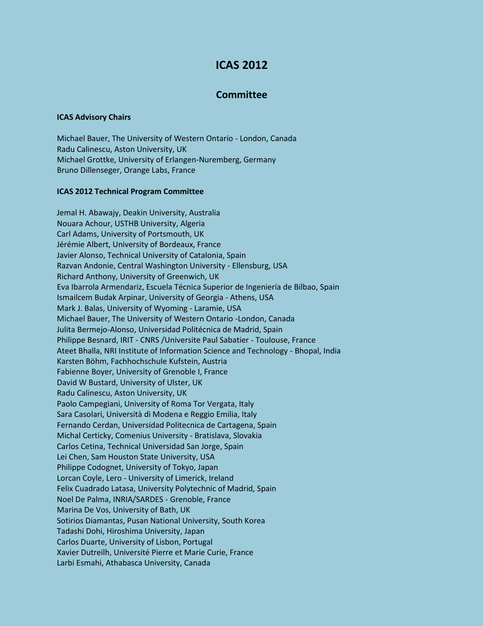## **ICAS 2012**

## **Committee**

## **ICAS Advisory Chairs**

Michael Bauer, The University of Western Ontario - London, Canada Radu Calinescu, Aston University, UK Michael Grottke, University of Erlangen-Nuremberg, Germany Bruno Dillenseger, Orange Labs, France

## **ICAS 2012 Technical Program Committee**

Jemal H. Abawajy, Deakin University, Australia Nouara Achour, USTHB University, Algeria Carl Adams, University of Portsmouth, UK Jérémie Albert, University of Bordeaux, France Javier Alonso, Technical University of Catalonia, Spain Razvan Andonie, Central Washington University - Ellensburg, USA Richard Anthony, University of Greenwich, UK Eva Ibarrola Armendariz, Escuela Técnica Superior de Ingeniería de Bilbao, Spain Ismailcem Budak Arpinar, University of Georgia - Athens, USA Mark J. Balas, University of Wyoming - Laramie, USA Michael Bauer, The University of Western Ontario -London, Canada Julita Bermejo-Alonso, Universidad Politécnica de Madrid, Spain Philippe Besnard, IRIT - CNRS /Universite Paul Sabatier - Toulouse, France Ateet Bhalla, NRI Institute of Information Science and Technology - Bhopal, India Karsten Böhm, Fachhochschule Kufstein, Austria Fabienne Boyer, University of Grenoble I, France David W Bustard, University of Ulster, UK Radu Calinescu, Aston University, UK Paolo Campegiani, University of Roma Tor Vergata, Italy Sara Casolari, Università di Modena e Reggio Emilia, Italy Fernando Cerdan, Universidad Politecnica de Cartagena, Spain Michal Certicky, Comenius University - Bratislava, Slovakia Carlos Cetina, Technical Universidad San Jorge, Spain Lei Chen, Sam Houston State University, USA Philippe Codognet, University of Tokyo, Japan Lorcan Coyle, Lero - University of Limerick, Ireland Felix Cuadrado Latasa, University Polytechnic of Madrid, Spain Noel De Palma, INRIA/SARDES - Grenoble, France Marina De Vos, University of Bath, UK Sotirios Diamantas, Pusan National University, South Korea Tadashi Dohi, Hiroshima University, Japan Carlos Duarte, University of Lisbon, Portugal Xavier Dutreilh, Université Pierre et Marie Curie, France Larbi Esmahi, Athabasca University, Canada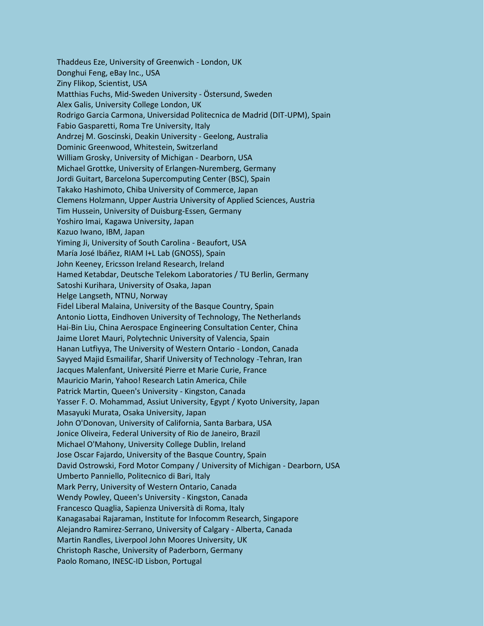Thaddeus Eze, University of Greenwich - London, UK Donghui Feng, eBay Inc., USA Ziny Flikop, Scientist, USA Matthias Fuchs, Mid-Sweden University - Östersund, Sweden Alex Galis, University College London, UK Rodrigo Garcia Carmona, Universidad Politecnica de Madrid (DIT-UPM), Spain Fabio Gasparetti, Roma Tre University, Italy Andrzej M. Goscinski, Deakin University - Geelong, Australia Dominic Greenwood, Whitestein, Switzerland William Grosky, University of Michigan - Dearborn, USA Michael Grottke, University of Erlangen-Nuremberg, Germany Jordi Guitart, Barcelona Supercomputing Center (BSC), Spain Takako Hashimoto, Chiba University of Commerce, Japan Clemens Holzmann, Upper Austria University of Applied Sciences, Austria Tim Hussein, University of Duisburg-Essen*,* Germany Yoshiro Imai, Kagawa University, Japan Kazuo Iwano, IBM, Japan Yiming Ji, University of South Carolina - Beaufort, USA María José Ibáñez, RIAM I+L Lab (GNOSS), Spain John Keeney, Ericsson Ireland Research, Ireland Hamed Ketabdar, Deutsche Telekom Laboratories / TU Berlin, Germany Satoshi Kurihara, University of Osaka, Japan Helge Langseth, NTNU, Norway Fidel Liberal Malaina, University of the Basque Country, Spain Antonio Liotta, Eindhoven University of Technology, The Netherlands Hai-Bin Liu, China Aerospace Engineering Consultation Center, China Jaime Lloret Mauri, Polytechnic University of Valencia, Spain Hanan Lutfiyya, The University of Western Ontario - London, Canada Sayyed Majid Esmailifar, Sharif University of Technology -Tehran, Iran Jacques Malenfant, Université Pierre et Marie Curie, France Mauricio Marin, Yahoo! Research Latin America, Chile Patrick Martin, Queen's University - Kingston, Canada Yasser F. O. Mohammad, Assiut University, Egypt / Kyoto University, Japan Masayuki Murata, Osaka University, Japan John O'Donovan, University of California, Santa Barbara, USA Jonice Oliveira, Federal University of Rio de Janeiro, Brazil Michael O'Mahony, University College Dublin, Ireland Jose Oscar Fajardo, University of the Basque Country, Spain David Ostrowski, Ford Motor Company / University of Michigan - Dearborn, USA Umberto Panniello, Politecnico di Bari, Italy Mark Perry, University of Western Ontario, Canada Wendy Powley, Queen's University - Kingston, Canada Francesco Quaglia, Sapienza Università di Roma, Italy Kanagasabai Rajaraman, Institute for Infocomm Research, Singapore Alejandro Ramirez-Serrano, University of Calgary - Alberta, Canada Martin Randles, Liverpool John Moores University, UK Christoph Rasche, University of Paderborn, Germany Paolo Romano, INESC-ID Lisbon, Portugal